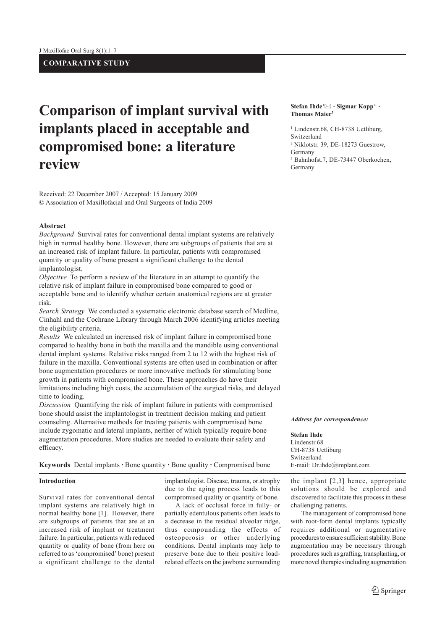# **COMPARATIVE STUDY**

# **Comparison of implant survival with implants placed in acceptable and compromised bone: a literature review**

Received: 22 December 2007 / Accepted: 15 January 2009 © Association of Maxillofacial and Oral Surgeons of India 2009

## **Abstract**

*Background* Survival rates for conventional dental implant systems are relatively high in normal healthy bone. However, there are subgroups of patients that are at an increased risk of implant failure. In particular, patients with compromised quantity or quality of bone present a significant challenge to the dental implantologist.

*Objective* To perform a review of the literature in an attempt to quantify the relative risk of implant failure in compromised bone compared to good or acceptable bone and to identify whether certain anatomical regions are at greater risk.

*Search Strategy* We conducted a systematic electronic database search of Medline, Cinhahl and the Cochrane Library through March 2006 identifying articles meeting the eligibility criteria.

*Results* We calculated an increased risk of implant failure in compromised bone compared to healthy bone in both the maxilla and the mandible using conventional dental implant systems. Relative risks ranged from 2 to 12 with the highest risk of failure in the maxilla. Conventional systems are often used in combination or after bone augmentation procedures or more innovative methods for stimulating bone growth in patients with compromised bone. These approaches do have their limitations including high costs, the accumulation of the surgical risks, and delayed time to loading.

*Discussion* Quantifying the risk of implant failure in patients with compromised bone should assist the implantologist in treatment decision making and patient counseling. Alternative methods for treating patients with compromised bone include zygomatic and lateral implants, neither of which typically require bone augmentation procedures. More studies are needed to evaluate their safety and efficacy.

**Keywords** Dental implants **·** Bone quantity **·** Bone quality **·** Compromised bone

### **Introduction**

Survival rates for conventional dental implant systems are relatively high in normal healthy bone [1]. However, there are subgroups of patients that are at an increased risk of implant or treatment failure. In particular, patients with reduced quantity or quality of bone (from here on referred to as 'compromised' bone) present a significant challenge to the dental implantologist. Disease, trauma, or atrophy due to the aging process leads to this compromised quality or quantity of bone.

A lack of occlusal force in fully- or partially edentulous patients often leads to a decrease in the residual alveolar ridge, thus compounding the effects of osteoporosis or other underlying conditions. Dental implants may help to preserve bone due to their positive loadrelated effects on the jawbone surrounding

## **Stefan Ihde1 · Sigmar Kopp2 · Thomas Maier3**

<sup>1</sup> Lindenstr.68, CH-8738 Uetliburg, Switzerland 2 Niklotstr. 39, DE-18273 Guestrow, Germany 3 Bahnhofst.7, DE-73447 Oberkochen, Germany

#### *Address for correspondence:*

**Stefan Ihde** Lindenstr<sub>68</sub> CH-8738 Uetliburg Switzerland E-mail: Dr.ihde@implant.com

the implant [2,3] hence, appropriate solutions should be explored and discovered to facilitate this process in these challenging patients.

The management of compromised bone with root-form dental implants typically requires additional or augmentative procedures to ensure sufficient stability. Bone augmentation may be necessary through procedures such as grafting, transplanting, or more novel therapies including augmentation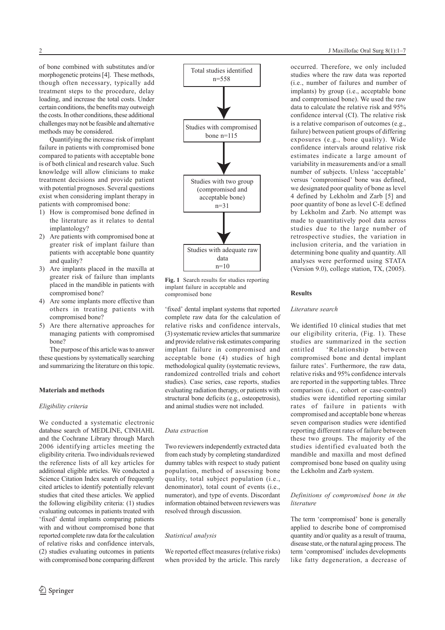of bone combined with substitutes and/or morphogenetic proteins [4]. These methods, though often necessary, typically add treatment steps to the procedure, delay loading, and increase the total costs. Under certain conditions, the benefits may outweigh the costs. In other conditions, these additional challenges may not be feasible and alternative methods may be considered.

Quantifying the increase risk of implant failure in patients with compromised bone compared to patients with acceptable bone is of both clinical and research value. Such knowledge will allow clinicians to make treatment decisions and provide patient with potential prognoses. Several questions exist when considering implant therapy in patients with compromised bone:

- 1) How is compromised bone defined in the literature as it relates to dental implantology?
- 2) Are patients with compromised bone at greater risk of implant failure than patients with acceptable bone quantity and quality?
- 3) Are implants placed in the maxilla at greater risk of failure than implants placed in the mandible in patients with compromised bone?
- 4) Are some implants more effective than others in treating patients with compromised bone?
- 5) Are there alternative approaches for managing patients with compromised bone?

The purpose of this article was to answer these questions by systematically searching and summarizing the literature on this topic.

#### **Materials and methods**

#### *Eligibility criteria*

We conducted a systematic electronic database search of MEDLINE, CINHAHL and the Cochrane Library through March 2006 identifying articles meeting the eligibility criteria. Two individuals reviewed the reference lists of all key articles for additional eligible articles. We conducted a Science Citation Index search of frequently cited articles to identify potentially relevant studies that cited these articles. We applied the following eligibility criteria: (1) studies evaluating outcomes in patients treated with 'fixed' dental implants comparing patients with and without compromised bone that reported complete raw data for the calculation of relative risks and confidence intervals, (2) studies evaluating outcomes in patients with compromised bone comparing different



**Fig. 1** Search results for studies reporting implant failure in acceptable and compromised bone

'fixed' dental implant systems that reported complete raw data for the calculation of relative risks and confidence intervals, (3) systematic review articles that summarize and provide relative risk estimates comparing implant failure in compromised and acceptable bone (4) studies of high methodological quality (systematic reviews, randomized controlled trials and cohort studies). Case series, case reports, studies evaluating radiation therapy, or patients with structural bone deficits (e.g., osteopetrosis), and animal studies were not included.

## *Data extraction*

Two reviewers independently extracted data from each study by completing standardized dummy tables with respect to study patient population, method of assessing bone quality, total subject population (i.e., denominator), total count of events (i.e., numerator), and type of events. Discordant information obtained between reviewers was resolved through discussion.

## *Statistical analysis*

We reported effect measures (relative risks) when provided by the article. This rarely

occurred. Therefore, we only included studies where the raw data was reported (i.e., number of failures and number of implants) by group (i.e., acceptable bone and compromised bone). We used the raw data to calculate the relative risk and 95% confidence interval (CI). The relative risk is a relative comparison of outcomes (e.g., failure) between patient groups of differing exposures (e.g., bone quality). Wide confidence intervals around relative risk estimates indicate a large amount of variability in measurements and/or a small number of subjects. Unless 'acceptable' versus 'compromised' bone was defined, we designated poor quality of bone as level 4 defined by Lekholm and Zarb [5] and poor quantity of bone as level C-E defined by Lekholm and Zarb. No attempt was made to quantitatively pool data across studies due to the large number of retrospective studies, the variation in inclusion criteria, and the variation in determining bone quality and quantity. All analyses were performed using STATA (Version 9.0), college station, TX, (2005).

### **Results**

## *Literature search*

We identified 10 clinical studies that met our eligibility criteria, (Fig. 1). These studies are summarized in the section entitled 'Relationship between compromised bone and dental implant failure rates'. Furthermore, the raw data. relative risks and 95% confidence intervals are reported in the supporting tables. Three comparison (i.e., cohort or case-control) studies were identified reporting similar rates of failure in patients with compromised and acceptable bone whereas seven comparison studies were identified reporting different rates of failure between these two groups. The majority of the studies identified evaluated both the mandible and maxilla and most defined compromised bone based on quality using the Lekholm and Zarb system.

## *Definitions of compromised bone in the literature*

The term 'compromised' bone is generally applied to describe bone of compromised quantity and/or quality as a result of trauma, disease state, or the natural aging process. The term 'compromised' includes developments like fatty degeneration, a decrease of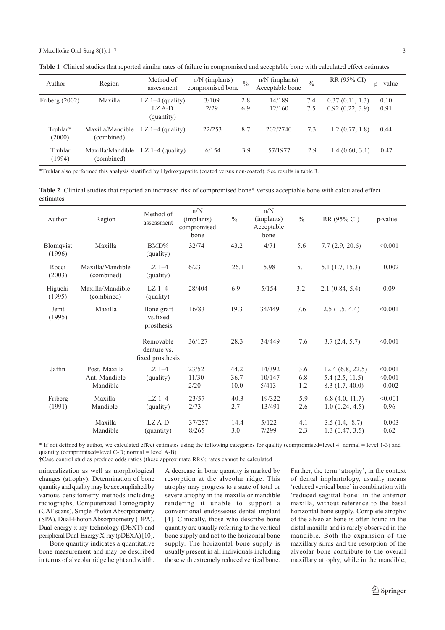| Author             | Region                                            | Method of<br>assessment                      | $n/N$ (implants)<br>compromised bone | $\frac{0}{0}$ | $n/N$ (implants)<br>Acceptable bone | $\frac{0}{0}$ | RR (95% CI)                        | p - value    |
|--------------------|---------------------------------------------------|----------------------------------------------|--------------------------------------|---------------|-------------------------------------|---------------|------------------------------------|--------------|
| Friberg $(2002)$   | Maxilla                                           | LZ $1-4$ (quality)<br>$LZ$ A-D<br>(quantity) | 3/109<br>2/29                        | 2.8<br>6.9    | 14/189<br>12/160                    | 7.4<br>7.5    | 0.37(0.11, 1.3)<br>0.92(0.22, 3.9) | 0.10<br>0.91 |
| Truhlar*<br>(2000) | Maxilla/Mandible $LZ$ 1–4 (quality)<br>(combined) |                                              | 22/253                               | 8.7           | 202/2740                            | 7.3           | 1.2(0.77, 1.8)                     | 0.44         |
| Truhlar<br>(1994)  | Maxilla/Mandible LZ $1-4$ (quality)<br>(combined) |                                              | 6/154                                | 3.9           | 57/1977                             | 2.9           | 1.4(0.60, 3.1)                     | 0.47         |

**Table 1** Clinical studies that reported similar rates of failure in compromised and acceptable bone with calculated effect estimates

\*Truhlar also performed this analysis stratified by Hydroxyapatite (coated versus non-coated). See results in table 3.

**Table 2** Clinical studies that reported an increased risk of compromised bone\* versus acceptable bone with calculated effect estimates

| Author              | Region                                     | Method of<br>assessment                      | n/N<br>(implants)<br>compromised<br>bone | $\frac{0}{0}$        | n/N<br>(implants)<br>Acceptable<br>bone | $\frac{0}{0}$     | RR (95% CI)                                         | p-value                     |
|---------------------|--------------------------------------------|----------------------------------------------|------------------------------------------|----------------------|-----------------------------------------|-------------------|-----------------------------------------------------|-----------------------------|
| Blomqvist<br>(1996) | Maxilla                                    | BMD%<br>(quality)                            | 32/74                                    | 43.2                 | 4/71                                    | 5.6               | 7.7(2.9, 20.6)                                      | < 0.001                     |
| Rocci<br>(2003)     | Maxilla/Mandible<br>(combined)             | $LZ$ 1-4<br>(quality)                        | 6/23                                     | 26.1                 | 5.98                                    | 5.1               | 5.1(1.7, 15.3)                                      | 0.002                       |
| Higuchi<br>(1995)   | Maxilla/Mandible<br>(combined)             | $LZ$ 1-4<br>(quality)                        | 28/404                                   | 6.9                  | 5/154                                   | 3.2               | 2.1(0.84, 5.4)                                      | 0.09                        |
| Jemt<br>(1995)      | Maxilla                                    | Bone graft<br>vs fixed<br>prosthesis         | 16/83                                    | 19.3                 | 34/449                                  | 7.6               | 2.5(1.5, 4.4)                                       | < 0.001                     |
|                     |                                            | Removable<br>denture vs.<br>fixed prosthesis | 36/127                                   | 28.3                 | 34/449                                  | 7.6               | 3.7(2.4, 5.7)                                       | < 0.001                     |
| Jaffin              | Post. Maxilla<br>Ant. Mandible<br>Mandible | $LZ$ 1-4<br>(quality)                        | 23/52<br>11/30<br>2/20                   | 44.2<br>36.7<br>10.0 | 14/392<br>10/147<br>5/413               | 3.6<br>6.8<br>1.2 | 12.4(6.8, 22.5)<br>5.4(2.5, 11.5)<br>8.3(1.7, 40.0) | < 0.001<br>< 0.001<br>0.002 |
| Friberg<br>(1991)   | Maxilla<br>Mandible                        | $LZ$ 1-4<br>(quality)                        | 23/57<br>2/73                            | 40.3<br>2.7          | 19/322<br>13/491                        | 5.9<br>2.6        | 6.8(4.0, 11.7)<br>1.0(0.24, 4.5)                    | < 0.001<br>0.96             |
|                     | Maxilla<br>Mandible                        | $LZ$ A-D<br>(quantity)                       | 37/257<br>8/265                          | 14.4<br>3.0          | 5/122<br>7/299                          | 4.1<br>2.3        | 3.5(1.4, 8.7)<br>1.3(0.47, 3.5)                     | 0.003<br>0.62               |

\* If not defined by author, we calculated effect estimates using the following categories for quality (compromised=level 4; normal = level 1-3) and quantity (compromised=level C-D; normal = level A-B)

†Case control studies produce odds ratios (these approximate RRs); rates cannot be calculated

mineralization as well as morphological changes (atrophy). Determination of bone quantity and quality may be accomplished by various densitometry methods including radiographs, Computerized Tomography (CAT scans), Single Photon Absorptiometry (SPA), Dual-Photon Absorptiometry (DPA), Dual-energy x-ray technology (DEXT) and peripheral Dual-Energy X-ray (pDEXA) [10].

Bone quantity indicates a quantitative bone measurement and may be described in terms of alveolar ridge height and width. A decrease in bone quantity is marked by resorption at the alveolar ridge. This atrophy may progress to a state of total or severe atrophy in the maxilla or mandible rendering it unable to support a conventional endosseous dental implant [4]. Clinically, those who describe bone quantity are usually referring to the vertical bone supply and not to the horizontal bone supply. The horizontal bone supply is usually present in all individuals including those with extremely reduced vertical bone.

Further, the term 'atrophy', in the context of dental implantology, usually means 'reduced vertical bone' in combination with 'reduced sagittal bone' in the anterior maxilla, without reference to the basal horizontal bone supply. Complete atrophy of the alveolar bone is often found in the distal maxilla and is rarely observed in the mandible. Both the expansion of the maxillary sinus and the resorption of the alveolar bone contribute to the overall maxillary atrophy, while in the mandible,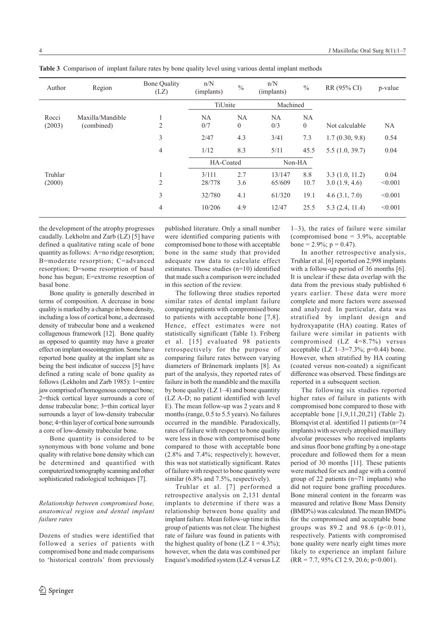| Author  | Region           | <b>Bone Quality</b><br>(LZ) | n/N<br>(implants) | $\frac{0}{0}$  | n/N<br>(implants) | $\frac{0}{0}$  | RR (95% CI)    | p-value |
|---------|------------------|-----------------------------|-------------------|----------------|-------------------|----------------|----------------|---------|
|         |                  |                             | TiUnite           |                | Machined          |                |                |         |
| Rocci   | Maxilla/Mandible | -1.                         | NA                | <b>NA</b>      | NA                | NA             |                |         |
| (2003)  | (combined)       | $\overline{2}$              | 0/7               | $\overline{0}$ | 0/3               | $\overline{0}$ | Not calculable | NA      |
|         |                  | 3                           | 2/47              | 4.3            | 3/41              | 7.3            | 1.7(0.30, 9.8) | 0.54    |
|         |                  | $\overline{4}$              | 1/12              | 8.3            | 5/11              | 45.5           | 5.5(1.0, 39.7) | 0.04    |
|         |                  |                             | HA-Coated         |                | Non-HA            |                |                |         |
| Truhlar |                  |                             | 3/111             | 2.7            | 13/147            | 8.8            | 3.3(1.0, 11.2) | 0.04    |
| (2000)  |                  | $\overline{2}$              | 28/778            | 3.6            | 65/609            | 10.7           | 3.0(1.9, 4.6)  | < 0.001 |
|         |                  | 3                           | 32/780            | 4.1            | 61/320            | 19.1           | 4.6(3.1, 7.0)  | < 0.001 |
|         |                  | 4                           | 10/206            | 4.9            | 12/47             | 25.5           | 5.3(2.4, 11.4) | < 0.001 |

**Table 3** Comparison of implant failure rates by bone quality level using various dental implant methods

the development of the atrophy progresses caudally. Lekholm and Zarb (LZ) [5] have defined a qualitative rating scale of bone quantity as follows: A=no ridge resorption; B=moderate resorption; C=advanced resorption; D=some resorption of basal bone has begun; E=extreme resorption of basal bone.

Bone quality is generally described in terms of composition. A decrease in bone quality is marked by a change in bone density, including a loss of cortical bone, a decreased density of trabecular bone and a weakened collagenous framework [12]. Bone quality as opposed to quantity may have a greater effect on implant osseointegration. Some have reported bone quality at the implant site as being the best indicator of success [5] have defined a rating scale of bone quality as follows (Lekholm and Zarb 1985): 1=entire jaw comprised of homogenous compact bone; 2=thick cortical layer surrounds a core of dense trabecular bone; 3=thin cortical layer surrounds a layer of low-density trabecular bone; 4=thin layer of cortical bone surrounds a core of low-density trabecular bone.

Bone quantity is considered to be synonymous with bone volume and bone quality with relative bone density which can be determined and quantified with computerized tomography scanning and other sophisticated radiological techniques [7].

## *Relationship between compromised bone, anatomical region and dental implant failure rates*

Dozens of studies were identified that followed a series of patients with compromised bone and made comparisons to 'historical controls' from previously published literature. Only a small number were identified comparing patients with compromised bone to those with acceptable bone in the same study that provided adequate raw data to calculate effect estimates. Those studies (n=10) identified that made such a comparison were included in this section of the review.

The following three studies reported similar rates of dental implant failure comparing patients with compromised bone to patients with acceptable bone [7,8]. Hence, effect estimates were not statistically significant (Table 1). Friberg et al. [15] evaluated 98 patients retrospectively for the purpose of comparing failure rates between varying diameters of Brånemark implants [8]. As part of the analysis, they reported rates of failure in both the mandible and the maxilla by bone quality (LZ 1–4) and bone quantity (LZ A-D; no patient identified with level E). The mean follow-up was 2 years and 8 months (range, 0.5 to 5.5 years). No failures occurred in the mandible. Paradoxically, rates of failure with respect to bone quality were less in those with compromised bone compared to those with acceptable bone (2.8% and 7.4%; respectively); however, this was not statistically significant. Rates of failure with respect to bone quantity were similar (6.8% and 7.5%, respectively).

Truhlar et al. [7] performed a retrospective analysis on 2,131 dental implants to determine if there was a relationship between bone quality and implant failure. Mean follow-up time in this group of patients was not clear. The highest rate of failure was found in patients with the highest quality of bone (LZ  $1 = 4.3\%$ ); however, when the data was combined per Enquist's modified system (LZ 4 versus LZ

1–3), the rates of failure were similar (compromised bone  $= 3.9\%$ , acceptable bone =  $2.9\%$ ; p = 0.47).

In another retrospective analysis, Truhlar et al. [6] reported on 2,998 implants with a follow-up period of 36 months [6]. It is unclear if these data overlap with the data from the previous study published 6 years earlier. These data were more complete and more factors were assessed and analyzed. In particular, data was stratified by implant design and hydroxyapatite (HA) coating. Rates of failure were similar in patients with compromised (LZ 4=8.7%) versus acceptable (LZ  $1-3=7.3\%$ ; p=0.44) bone. However, when stratified by HA coating (coated versus non-coated) a significant difference was observed. These findings are reported in a subsequent section.

The following six studies reported higher rates of failure in patients with compromised bone compared to those with acceptable bone [1,9,11,20,21] (Table 2). Blomqvist et al. identified 11 patients (n=74 implants) with severely atrophied maxillary alveolar processes who received implants and sinus floor bone grafting by a one-stage procedure and followed them for a mean period of 30 months [11]. These patients were matched for sex and age with a control group of 22 patients (n=71 implants) who did not require bone grafting procedures. Bone mineral content in the forearm was measured and relative Bone Mass Density (BMD%) was calculated. The mean BMD% for the compromised and acceptable bone groups was 89.2 and 98.6 ( $p < 0.01$ ), respectively. Patients with compromised bone quality were nearly eight times more likely to experience an implant failure  $(RR = 7.7, 95\% \text{ CI } 2.9, 20.6; \text{p} < 0.001).$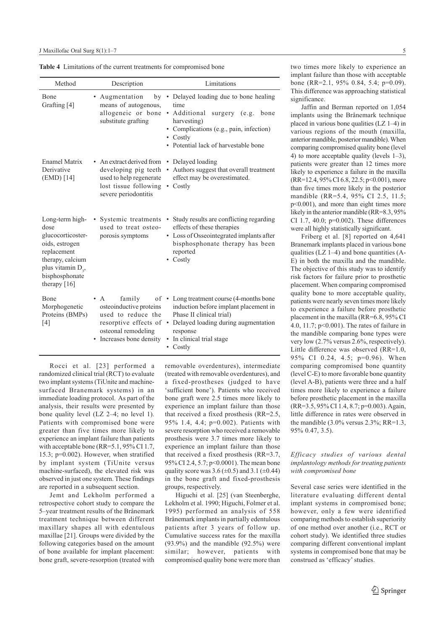| <b>Table 4</b> Limitations of the current treatments for compromised bone |  |
|---------------------------------------------------------------------------|--|
|---------------------------------------------------------------------------|--|

| Method                                                                                                                                                                 | Description                                                                                                                                     | Limitations                                                                                                                                                                                                                                           |  |  |  |
|------------------------------------------------------------------------------------------------------------------------------------------------------------------------|-------------------------------------------------------------------------------------------------------------------------------------------------|-------------------------------------------------------------------------------------------------------------------------------------------------------------------------------------------------------------------------------------------------------|--|--|--|
| Bone<br>Grafting [4]                                                                                                                                                   | • Augmentation<br>means of autogenous,<br>allogeneic or bone<br>substitute grafting                                                             | by • Delayed loading due to bone healing<br>time<br>• Additional<br>surgery (e.g. bone<br>harvesting)<br>• Complications (e.g., pain, infection)<br>• Costly<br>• Potential lack of harvestable bone                                                  |  |  |  |
| <b>Enamel Matrix</b><br>Derivative<br>$(EMD)$ [14]                                                                                                                     | • An extract derived from • Delayed loading<br>developing pig teeth<br>used to help regenerate<br>lost tissue following<br>severe periodontitis | • Authors suggest that overall treatment<br>effect may be overestimated.<br>• Costly                                                                                                                                                                  |  |  |  |
| Long-term high-<br>dose<br>glucocorticoster-<br>oids, estrogen<br>replacement<br>therapy, calcium<br>plus vitamin D <sub>3</sub> ,<br>bisphosphonate<br>therapy $[16]$ | • Systemic treatments<br>used to treat osteo-<br>porosis symptoms                                                                               | Study results are conflicting regarding<br>effects of these therapies<br>• Loss of Osseointegrated implants after<br>bisphosphonate therapy has been<br>reported<br>• Costly                                                                          |  |  |  |
| Bone<br>Morphogenetic<br>Proteins (BMPs)<br>[4]                                                                                                                        | family<br>A<br>osteoinductive proteins<br>used to reduce the<br>osteonal remodeling<br>• Increases bone density                                 | of • Long treatment course (4-months bone<br>induction before implant placement in<br>Phase II clinical trial)<br>resorptive effects of • Delayed loading during augmentation<br>response<br>In clinical trial stage<br>$\bullet$<br>$\bullet$ Costly |  |  |  |

Rocci et al. [23] performed a randomized clinical trial (RCT) to evaluate two implant systems (TiUnite and machinesurfaced Branemark systems) in an immediate loading protocol. As part of the analysis, their results were presented by bone quality level (LZ 2–4; no level 1). Patients with compromised bone were greater than five times more likely to experience an implant failure than patients with acceptable bone (RR=5.1, 95% CI 1.7, 15.3; p=0.002). However, when stratified by implant system (TiUnite versus machine-surfaced), the elevated risk was observed in just one system. These findings are reported in a subsequent section.

Jemt and Lekholm performed a retrospective cohort study to compare the 5–year treatment results of the Brånemark treatment technique between different maxillary shapes all with edentulous maxillae [21]. Groups were divided by the following categories based on the amount of bone available for implant placement: bone graft, severe-resorption (treated with

removable overdentures), intermediate (treated with removable overdentures), and a fixed-prostheses (judged to have 'sufficient bone'). Patients who received bone graft were 2.5 times more likely to experience an implant failure than those that received a fixed prosthesis (RR=2.5, 95% 1.4, 4.4; p=0.002). Patients with severe resorption who received a removable prosthesis were 3.7 times more likely to experience an implant failure than those that received a fixed prosthesis (RR=3.7, 95% CI 2.4, 5.7; p<0.0001). The mean bone quality score was  $3.6 (\pm 0.5)$  and  $3.1 (\pm 0.44)$ in the bone graft and fixed-prosthesis groups, respectively.

Higuchi et al. [25] (van Steenberghe, Lekholm et al. 1990; Higuchi, Folmer et al. 1995) performed an analysis of 558 Brånemark implants in partially edentulous patients after 3 years of follow up. Cumulative success rates for the maxilla  $(93.9\%)$  and the mandible  $(92.5\%)$  were similar; however, patients with compromised quality bone were more than

two times more likely to experience an implant failure than those with acceptable bone (RR=2.1, 95% 0.84, 5.4; p=0.09). This difference was approaching statistical significance.

Jaffin and Berman reported on 1,054 implants using the Brånemark technique placed in various bone qualities (LZ 1–4) in various regions of the mouth (maxilla, anterior mandible, posterior mandible). When comparing compromised quality bone (level 4) to more acceptable quality (levels 1–3), patients were greater than 12 times more likely to experience a failure in the maxilla (RR=12.4, 95% CI 6.8, 22.5; p<0.001), more than five times more likely in the posterior mandible (RR=5.4, 95% CI 2.5, 11.5; p<0.001), and more than eight times more likely in the anterior mandible (RR=8.3, 95% CI 1.7, 40.0; p=0.002). These differences were all highly statistically significant.

Friberg et al. [8] reported on 4,641 Branemark implants placed in various bone qualities ( $LZ$  1–4) and bone quantities ( $A$ -E) in both the maxilla and the mandible. The objective of this study was to identify risk factors for failure prior to prosthetic placement. When comparing compromised quality bone to more acceptable quality, patients were nearly seven times more likely to experience a failure before prosthetic placement in the maxilla (RR=6.8, 95% CI 4.0, 11.7; p<0.001). The rates of failure in the mandible comparing bone types were very low (2.7% versus 2.6%, respectively). Little difference was observed (RR=1.0, 95% CI 0.24, 4.5; p=0.96). When comparing compromised bone quantity (level C-E) to more favorable bone quantity (level A-B), patients were three and a half times more likely to experience a failure before prosthetic placement in the maxilla (RR=3.5, 95% CI 1.4, 8.7; p=0.003). Again, little difference in rates were observed in the mandible  $(3.0\% \text{ versus } 2.3\% \text{ ; R} \text{R} = 1.3,$ 95% 0.47, 3.5).

# *Efficacy studies of various dental implantology methods for treating patients with compromised bone*

Several case series were identified in the literature evaluating different dental implant systems in compromised bone; however, only a few were identified comparing methods to establish superiority of one method over another (i.e., RCT or cohort study). We identified three studies comparing different conventional implant systems in compromised bone that may be construed as 'efficacy' studies.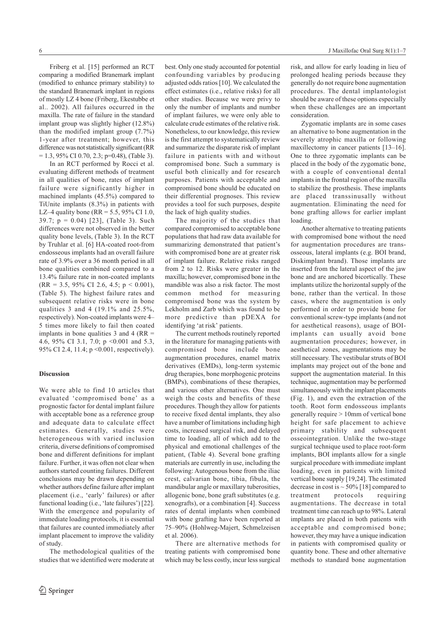Friberg et al. [15] performed an RCT comparing a modified Branemark implant (modified to enhance primary stability) to the standard Branemark implant in regions of mostly LZ 4 bone (Friberg, Ekestubbe et al.. 2002). All failures occurred in the maxilla. The rate of failure in the standard implant group was slightly higher (12.8%) than the modified implant group (7.7%) 1-year after treatment; however, this difference was not statistically significant (RR  $= 1.3, 95\%$  CI 0.70, 2.3; p=0.48), (Table 3).

In an RCT performed by Rocci et al. evaluating different methods of treatment in all qualities of bone, rates of implant failure were significantly higher in machined implants (45.5%) compared to TiUnite implants (8.3%) in patients with LZ–4 quality bone (RR = 5.5, 95% CI 1.0, 39.7; p = 0.04) [23], (Table 3). Such differences were not observed in the better quality bone levels, (Table 3). In the RCT by Truhlar et al. [6] HA-coated root-from endosseous implants had an overall failure rate of 3.9% over a 36 month period in all bone qualities combined compared to a 13.4% failure rate in non-coated implants  $(RR = 3.5, 95\% \text{ CI } 2.6, 4.5; p \leq 0.001$ (Table 5). The highest failure rates and subsequent relative risks were in bone qualities 3 and 4 (19.1% and 25.5%, respectively). Non-coated implants were 4– 5 times more likely to fail then coated implants in bone qualities 3 and 4 ( $RR =$ 4.6, 95% CI 3.1, 7.0; p <0.001 and 5.3, 95% CI 2.4, 11.4; p <0.001, respectively).

#### **Discussion**

We were able to find 10 articles that evaluated 'compromised bone' as a prognostic factor for dental implant failure with acceptable bone as a reference group and adequate data to calculate effect estimates. Generally, studies were heterogeneous with varied inclusion criteria, diverse definitions of compromised bone and different definitions for implant failure. Further, it was often not clear when authors started counting failures. Different conclusions may be drawn depending on whether authors define failure after implant placement (i.e., 'early' failures) or after functional loading (i.e., 'late failures') [22]. With the emergence and popularity of immediate loading protocols, it is essential that failures are counted immediately after implant placement to improve the validity of study.

The methodological qualities of the studies that we identified were moderate at best. Only one study accounted for potential confounding variables by producing adjusted odds ratios [10]. We calculated the effect estimates (i.e., relative risks) for all other studies. Because we were privy to only the number of implants and number of implant failures, we were only able to calculate crude estimates of the relative risk. Nonetheless, to our knowledge, this review is the first attempt to systematically review and summarize the disparate risk of implant failure in patients with and without compromised bone. Such a summary is useful both clinically and for research purposes. Patients with acceptable and compromised bone should be educated on their differential prognoses. This review provides a tool for such purposes, despite the lack of high quality studies.

The majority of the studies that compared compromised to acceptable bone populations that had raw data available for summarizing demonstrated that patient's with compromised bone are at greater risk of implant failure. Relative risks ranged from 2 to 12. Risks were greater in the maxilla; however, compromised bone in the mandible was also a risk factor. The most common method for measuring compromised bone was the system by Lekholm and Zarb which was found to be more predictive than pDEXA for identifying 'at risk' patients.

The current methods routinely reported in the literature for managing patients with compromised bone include bone augmentation procedures, enamel matrix derivatives (EMDs), long-term systemic drug therapies, bone morphogenic proteins (BMPs), combinations of these therapies, and various other alternatives. One must weigh the costs and benefits of these procedures. Though they allow for patients to receive fixed dental implants, they also have a number of limitations including high costs, increased surgical risk, and delayed time to loading, all of which add to the physical and emotional challenges of the patient, (Table 4). Several bone grafting materials are currently in use, including the following: Autogenous bone from the iliac crest, calvarian bone, tibia, fibula, the mandibular angle or maxillary tuberosities, allogenic bone, bone graft substitutes (e.g. xenografts), or a combination [4]. Success rates of dental implants when combined with bone grafting have been reported at 75–90% (Hohlweg-Majert, Schmelzeisen et al. 2006).

There are alternative methods for treating patients with compromised bone which may be less costly, incur less surgical risk, and allow for early loading in lieu of prolonged healing periods because they generally do not require bone augmentation procedures. The dental implantologist should be aware of these options especially when these challenges are an important consideration.

Zygomatic implants are in some cases an alternative to bone augmentation in the severely atrophic maxilla or following maxillectomy in cancer patients [13–16]. One to three zygomatic implants can be placed in the body of the zygomatic bone, with a couple of conventional dental implants in the frontal region of the maxilla to stabilize the prosthesis. These implants are placed transsinusally without augmentation. Eliminating the need for bone grafting allows for earlier implant loading.

Another alternative to treating patients with compromised bone without the need for augmentation procedures are transosseous, lateral implants (e.g. BOI brand, Diskimplant brand). Those implants are inserted from the lateral aspect of the jaw bone and are anchored bicortically. These implants utilize the horizontal supply of the bone, rather than the vertical. In those cases, where the augmentation is only performed in order to provide bone for conventional screw-type implants (and not for aesthetical reasons), usage of BOIimplants can usually avoid bone augmentation procedures; however, in aesthetical zones, augmentations may be still necessary. The vestibular struts of BOI implants may project out of the bone and support the augmentation material. In this technique, augmentation may be performed simultaneously with the implant placements (Fig. 1), and even the extraction of the tooth. Root form endosseous implants generally require > 10mm of vertical bone height for safe placement to achieve primary stability and subsequent osseointegration. Unlike the two-stage surgical technique used to place root-form implants, BOI implants allow for a single surgical procedure with immediate implant loading, even in patients with limited vertical bone supply [19,24]. The estimated decrease in cost is  $\sim$  50% [18] compared to treatment protocols requiring augmentations. The decrease in total treatment time can reach up to 98%. Lateral implants are placed in both patients with acceptable and compromised bone; however, they may have a unique indication in patients with compromised quality or quantity bone. These and other alternative methods to standard bone augmentation